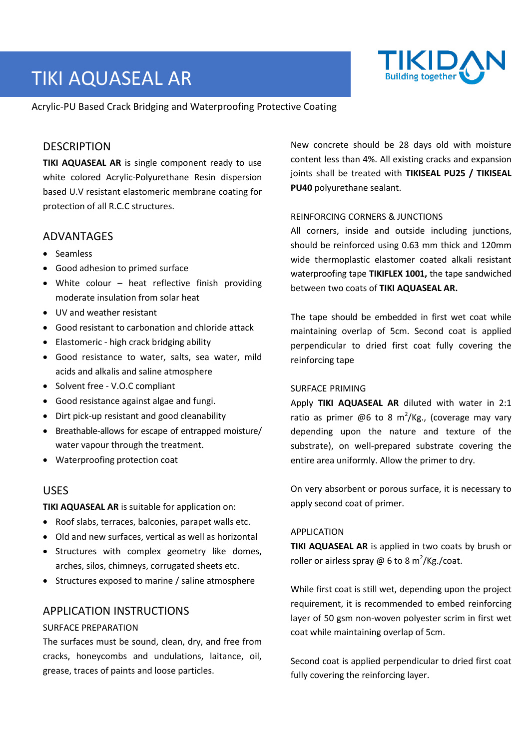# TIKI AQUASEAL AR



Acrylic-PU Based Crack Bridging and Waterproofing Protective Coating

## **DESCRIPTION**

**TIKI AQUASEAL AR** is single component ready to use white colored Acrylic-Polyurethane Resin dispersion based U.V resistant elastomeric membrane coating for protection of all R.C.C structures.

## ADVANTAGES

- Seamless
- Good adhesion to primed surface
- White colour heat reflective finish providing moderate insulation from solar heat
- UV and weather resistant
- Good resistant to carbonation and chloride attack
- Elastomeric high crack bridging ability
- Good resistance to water, salts, sea water, mild acids and alkalis and saline atmosphere
- Solvent free V.O.C compliant
- Good resistance against algae and fungi.
- Dirt pick-up resistant and good cleanability
- Breathable-allows for escape of entrapped moisture/ water vapour through the treatment.
- Waterproofing protection coat

## USES

**TIKI AQUASEAL AR** is suitable for application on:

- Roof slabs, terraces, balconies, parapet walls etc.
- Old and new surfaces, vertical as well as horizontal
- Structures with complex geometry like domes, arches, silos, chimneys, corrugated sheets etc.
- Structures exposed to marine / saline atmosphere

## APPLICATION INSTRUCTIONS

#### SURFACE PREPARATION

The surfaces must be sound, clean, dry, and free from cracks, honeycombs and undulations, laitance, oil, grease, traces of paints and loose particles.

New concrete should be 28 days old with moisture content less than 4%. All existing cracks and expansion joints shall be treated with **TIKISEAL PU25 / TIKISEAL PU40** polyurethane sealant.

### REINFORCING CORNERS & JUNCTIONS

All corners, inside and outside including junctions, should be reinforced using 0.63 mm thick and 120mm wide thermoplastic elastomer coated alkali resistant waterproofing tape **TIKIFLEX 1001,** the tape sandwiched between two coats of **TIKI AQUASEAL AR.**

The tape should be embedded in first wet coat while maintaining overlap of 5cm. Second coat is applied perpendicular to dried first coat fully covering the reinforcing tape

#### SURFACE PRIMING

Apply **TIKI AQUASEAL AR** diluted with water in 2:1 ratio as primer  $@6$  to 8 m<sup>2</sup>/Kg., (coverage may vary depending upon the nature and texture of the substrate), on well-prepared substrate covering the entire area uniformly. Allow the primer to dry.

On very absorbent or porous surface, it is necessary to apply second coat of primer.

#### APPLICATION

**TIKI AQUASEAL AR** is applied in two coats by brush or roller or airless spray  $\omega$  6 to 8 m<sup>2</sup>/Kg./coat.

While first coat is still wet, depending upon the project requirement, it is recommended to embed reinforcing layer of 50 gsm non-woven polyester scrim in first wet coat while maintaining overlap of 5cm.

Second coat is applied perpendicular to dried first coat fully covering the reinforcing layer.